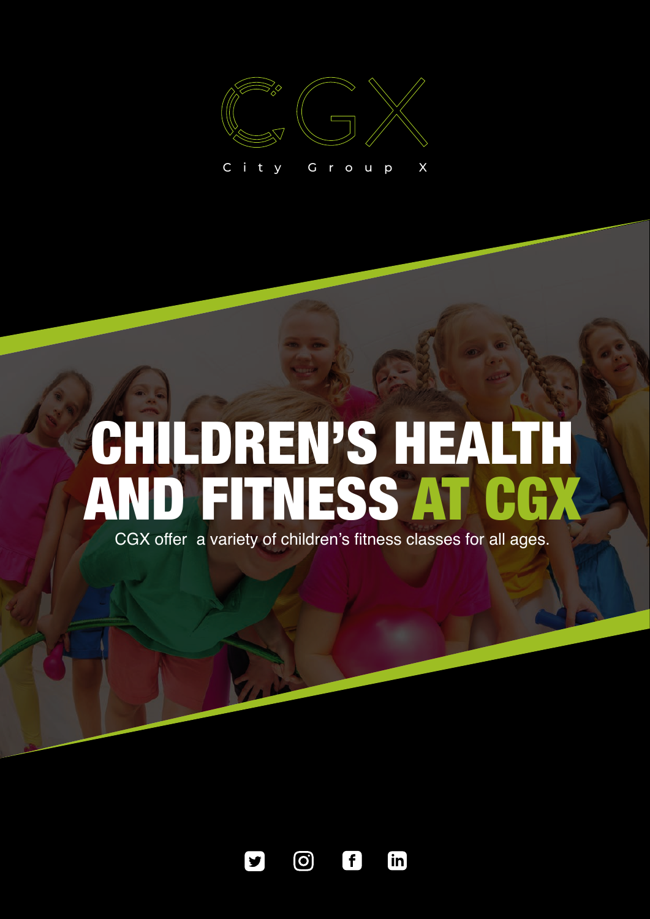

# CHILDREN'S HEALTH AND FITNESS AT CGX

CGX offer a variety of children's fitness classes for all ages.



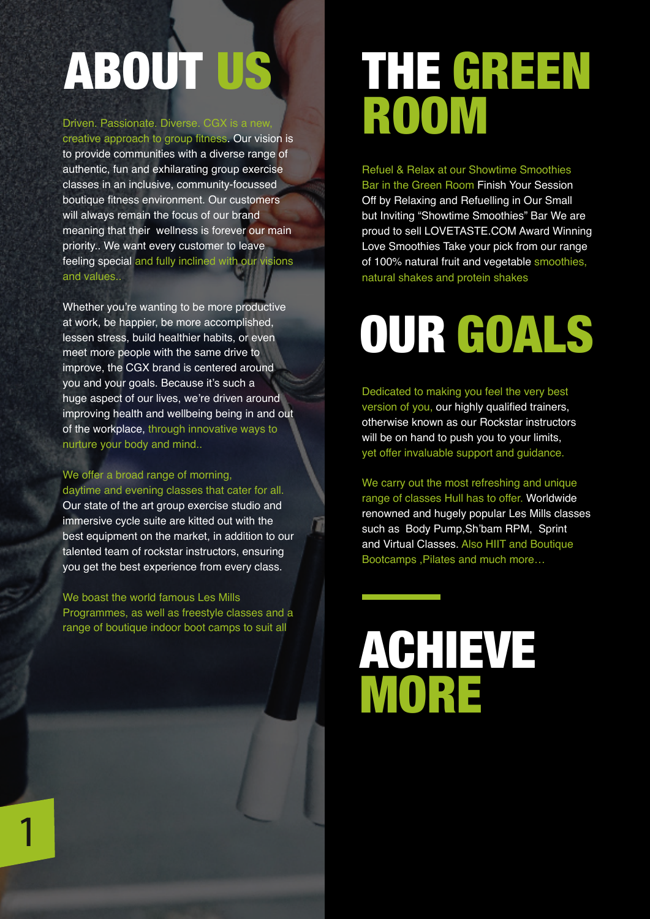# ABOUT US

#### Driven. Passionate. Diverse. CGX is a new,

creative approach to group fitness. Our vision is to provide communities with a diverse range of authentic, fun and exhilarating group exercise classes in an inclusive, community-focussed boutique fitness environment. Our customers will always remain the focus of our brand meaning that their wellness is forever our main priority.. We want every customer to leave feeling special and fully inclined with our visions and values..

Whether you're wanting to be more productive at work, be happier, be more accomplished, lessen stress, build healthier habits, or even meet more people with the same drive to improve, the CGX brand is centered around you and your goals. Because it's such a huge aspect of our lives, we're driven around improving health and wellbeing being in and out of the workplace, through innovative ways to nurture your body and mind..

#### We offer a broad range of morning,

daytime and evening classes that cater for all. Our state of the art group exercise studio and immersive cycle suite are kitted out with the best equipment on the market, in addition to our talented team of rockstar instructors, ensuring you get the best experience from every class.

#### We boast the world famous Les Mills

Programmes, as well as freestyle classes and a range of boutique indoor boot camps to suit all

### THE GREEN ROOM

Refuel & Relax at our Showtime Smoothies Bar in the Green Room Finish Your Session Off by Relaxing and Refuelling in Our Small but Inviting "Showtime Smoothies" Bar We are proud to sell LOVETASTE.COM Award Winning Love Smoothies Take your pick from our range of 100% natural fruit and vegetable smoothies, natural shakes and protein shakes

## OUR GOALS

Dedicated to making you feel the very best version of you, our highly qualified trainers, otherwise known as our Rockstar instructors will be on hand to push you to your limits, yet offer invaluable support and guidance.

We carry out the most refreshing and unique range of classes Hull has to offer. Worldwide renowned and hugely popular Les Mills classes such as Body Pump,Sh'bam RPM, Sprint and Virtual Classes. Also HIIT and Boutique Bootcamps ,Pilates and much more…

## ACHIEVE MORE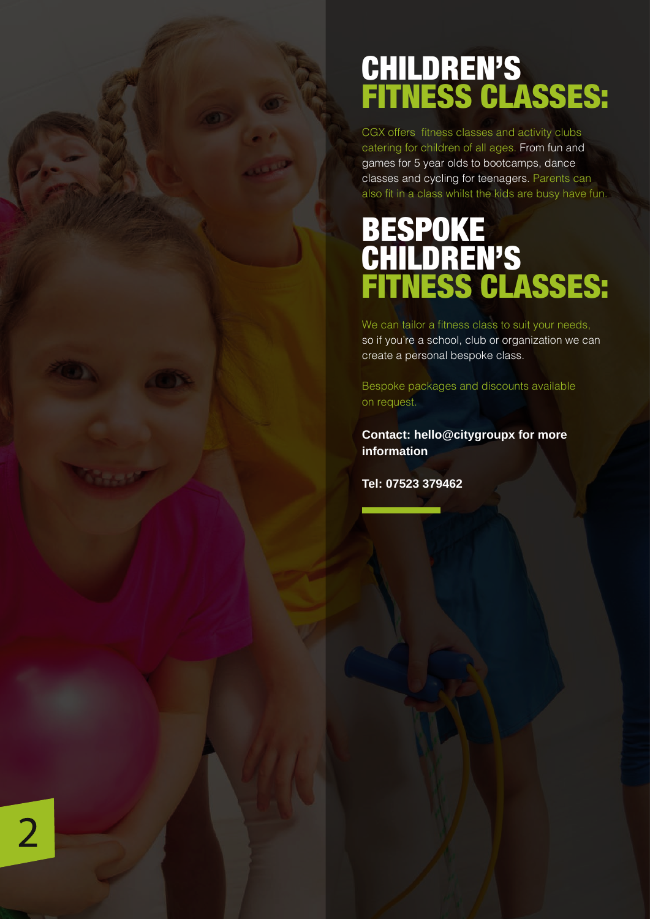### CHILDREN'S FITNESS CLASSES:

CGX offers fitness classes and activity clubs catering for children of all ages. From fun and games for 5 year olds to bootcamps, dance classes and cycling for teenagers. Parents can also fit in a class whilst the kids are busy have fun.

### **BESPOKE** CHILDREN'S FITNESS CLASSES:

We can tailor a fitness class to suit your needs, so if you're a school, club or organization we can create a personal bespoke class.

Bespoke packages and discounts available on request.

**Contact: hello@citygroupx for more information**

**Tel: 07523 379462**

 $\overline{2}$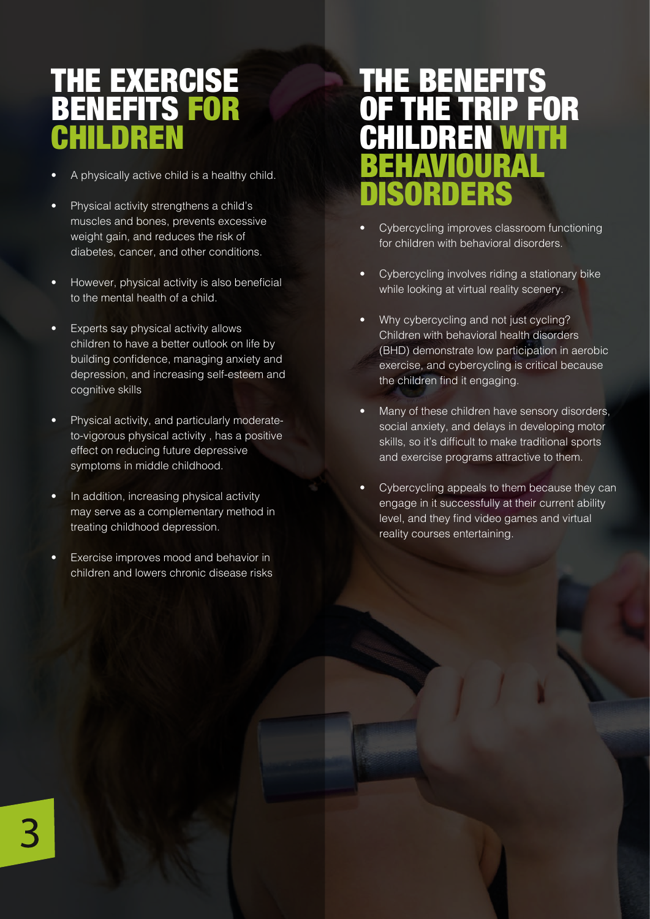### THE EXERCISE BENEFITS FOR CHILDREN

- A physically active child is a healthy child.
- Physical activity strengthens a child's muscles and bones, prevents excessive weight gain, and reduces the risk of diabetes, cancer, and other conditions.
- However, physical activity is also beneficial to the mental health of a child.
- Experts say physical activity allows children to have a better outlook on life by building confidence, managing anxiety and depression, and increasing self-esteem and cognitive skills
- Physical activity, and particularly moderateto-vigorous physical activity , has a positive effect on reducing future depressive symptoms in middle childhood.
- In addition, increasing physical activity may serve as a complementary method in treating childhood depression.
- Exercise improves mood and behavior in children and lowers chronic disease risks

### THE BENEFITS FOR CHILDREN WITH BEHAVIOURAL DISORDERS

- Cybercycling improves classroom functioning for children with behavioral disorders.
- Cybercycling involves riding a stationary bike while looking at virtual reality scenery.
- Why cybercycling and not just cycling? Children with behavioral health disorders (BHD) demonstrate low participation in aerobic exercise, and cybercycling is critical because the children find it engaging.
- Many of these children have sensory disorders, social anxiety, and delays in developing motor skills, so it's difficult to make traditional sports and exercise programs attractive to them.
- Cybercycling appeals to them because they can engage in it successfully at their current ability level, and they find video games and virtual reality courses entertaining.